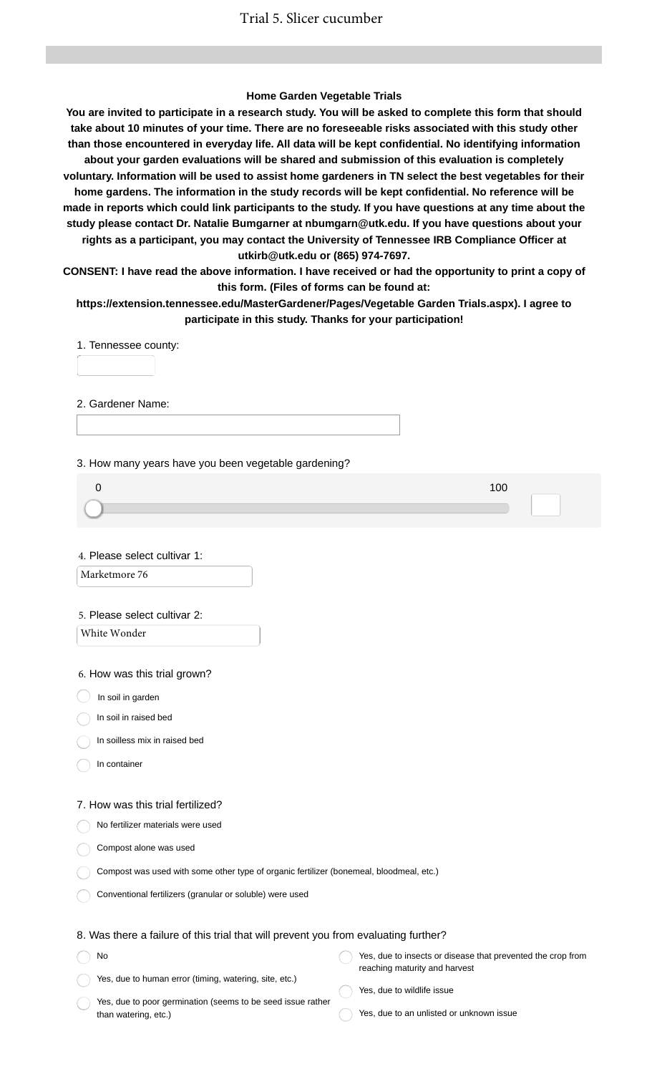### **Home Garden Vegetable Trials**

**You are invited to participate in a research study. You will be asked to complete this form that should take about 10 minutes of your time. There are no foreseeable risks associated with this study other than those encountered in everyday life. All data will be kept confidential. No identifying information about your garden evaluations will be shared and submission of this evaluation is completely voluntary. Information will be used to assist home gardeners in TN select the best vegetables for their home gardens. The information in the study records will be kept confidential. No reference will be made in reports which could link participants to the study. If you have questions at any time about the study please contact Dr. Natalie Bumgarner at nbumgarn@utk.edu. If you have questions about your rights as a participant, you may contact the University of Tennessee IRB Compliance Officer at utkirb@utk.edu or (865) 974-7697.**

**CONSENT: I have read the above information. I have received or had the opportunity to print a copy of this form. (Files of forms can be found at:**

**https://extension.tennessee.edu/MasterGardener/Pages/Vegetable Garden Trials.aspx). I agree to participate in this study. Thanks for your participation!**

1. Tennessee county:

2. Gardener Name:

3. How many years have you been vegetable gardening?

| 100 |  |
|-----|--|
|     |  |
|     |  |
|     |  |

4. Please select cultivar 1:

Marketmore 76

#### 5. Please select cultivar 2:

White Wonder

6. How was this trial grown?

 $\big)$  In soil in garden

In soil in raised bed

In soilless mix in raised bed

In container

No

#### 7. How was this trial fertilized?

No fertilizer materials were used

Compost alone was used

Compost was used with some other type of organic fertilizer (bonemeal, bloodmeal, etc.)

Conventional fertilizers (granular or soluble) were used

### 8. Was there a failure of this trial that will prevent you from evaluating further?

Yes, due to human error (timing, watering, site, etc.) Yes, due to insects or disease that prevented the crop from reaching maturity and harvest

Yes, due to poor germination (seems to be seed issue rather than watering, etc.)

Yes, due to wildlife issue

Yes, due to an unlisted or unknown issue